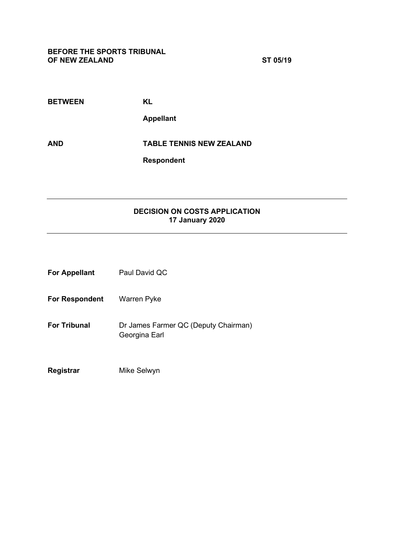| <b>BETWEEN</b> | KL                              |
|----------------|---------------------------------|
|                | <b>Appellant</b>                |
| <b>AND</b>     | <b>TABLE TENNIS NEW ZEALAND</b> |
|                | <b>Respondent</b>               |

## **DECISION ON COSTS APPLICATION 17 January 2020**

| <b>For Appellant</b>  | Paul David QC                                         |
|-----------------------|-------------------------------------------------------|
| <b>For Respondent</b> | Warren Pyke                                           |
| <b>For Tribunal</b>   | Dr James Farmer QC (Deputy Chairman)<br>Georgina Earl |
| Registrar             | Mike Selwyn                                           |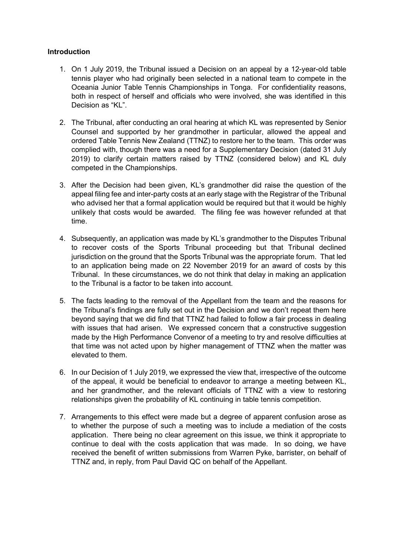## **Introduction**

- 1. On 1 July 2019, the Tribunal issued a Decision on an appeal by a 12-year-old table tennis player who had originally been selected in a national team to compete in the Oceania Junior Table Tennis Championships in Tonga. For confidentiality reasons, both in respect of herself and officials who were involved, she was identified in this Decision as "KL".
- 2. The Tribunal, after conducting an oral hearing at which KL was represented by Senior Counsel and supported by her grandmother in particular, allowed the appeal and ordered Table Tennis New Zealand (TTNZ) to restore her to the team. This order was complied with, though there was a need for a Supplementary Decision (dated 31 July 2019) to clarify certain matters raised by TTNZ (considered below) and KL duly competed in the Championships.
- 3. After the Decision had been given, KL's grandmother did raise the question of the appeal filing fee and inter-party costs at an early stage with the Registrar of the Tribunal who advised her that a formal application would be required but that it would be highly unlikely that costs would be awarded. The filing fee was however refunded at that time.
- 4. Subsequently, an application was made by KL's grandmother to the Disputes Tribunal to recover costs of the Sports Tribunal proceeding but that Tribunal declined jurisdiction on the ground that the Sports Tribunal was the appropriate forum. That led to an application being made on 22 November 2019 for an award of costs by this Tribunal. In these circumstances, we do not think that delay in making an application to the Tribunal is a factor to be taken into account.
- 5. The facts leading to the removal of the Appellant from the team and the reasons for the Tribunal's findings are fully set out in the Decision and we don't repeat them here beyond saying that we did find that TTNZ had failed to follow a fair process in dealing with issues that had arisen. We expressed concern that a constructive suggestion made by the High Performance Convenor of a meeting to try and resolve difficulties at that time was not acted upon by higher management of TTNZ when the matter was elevated to them.
- 6. In our Decision of 1 July 2019, we expressed the view that, irrespective of the outcome of the appeal, it would be beneficial to endeavor to arrange a meeting between KL, and her grandmother, and the relevant officials of TTNZ with a view to restoring relationships given the probability of KL continuing in table tennis competition.
- 7. Arrangements to this effect were made but a degree of apparent confusion arose as to whether the purpose of such a meeting was to include a mediation of the costs application. There being no clear agreement on this issue, we think it appropriate to continue to deal with the costs application that was made. In so doing, we have received the benefit of written submissions from Warren Pyke, barrister, on behalf of TTNZ and, in reply, from Paul David QC on behalf of the Appellant.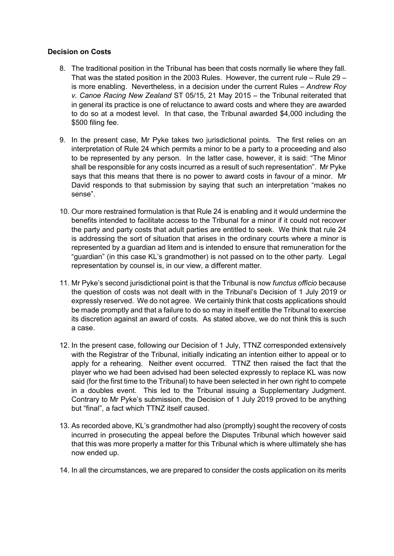## **Decision on Costs**

- 8. The traditional position in the Tribunal has been that costs normally lie where they fall. That was the stated position in the 2003 Rules. However, the current rule – Rule 29 – is more enabling. Nevertheless, in a decision under the current Rules – *Andrew Roy v. Canoe Racing New Zealand* ST 05/15, 21 May 2015 – the Tribunal reiterated that in general its practice is one of reluctance to award costs and where they are awarded to do so at a modest level. In that case, the Tribunal awarded \$4,000 including the \$500 filing fee.
- 9. In the present case, Mr Pyke takes two jurisdictional points. The first relies on an interpretation of Rule 24 which permits a minor to be a party to a proceeding and also to be represented by any person. In the latter case, however, it is said: "The Minor shall be responsible for any costs incurred as a result of such representation". Mr Pyke says that this means that there is no power to award costs in favour of a minor. Mr David responds to that submission by saying that such an interpretation "makes no sense".
- 10. Our more restrained formulation is that Rule 24 is enabling and it would undermine the benefits intended to facilitate access to the Tribunal for a minor if it could not recover the party and party costs that adult parties are entitled to seek. We think that rule 24 is addressing the sort of situation that arises in the ordinary courts where a minor is represented by a guardian ad litem and is intended to ensure that remuneration for the "guardian" (in this case KL's grandmother) is not passed on to the other party. Legal representation by counsel is, in our view, a different matter.
- 11. Mr Pyke's second jurisdictional point is that the Tribunal is now *functus officio* because the question of costs was not dealt with in the Tribunal's Decision of 1 July 2019 or expressly reserved. We do not agree. We certainly think that costs applications should be made promptly and that a failure to do so may in itself entitle the Tribunal to exercise its discretion against an award of costs. As stated above, we do not think this is such a case.
- 12. In the present case, following our Decision of 1 July, TTNZ corresponded extensively with the Registrar of the Tribunal, initially indicating an intention either to appeal or to apply for a rehearing. Neither event occurred. TTNZ then raised the fact that the player who we had been advised had been selected expressly to replace KL was now said (for the first time to the Tribunal) to have been selected in her own right to compete in a doubles event. This led to the Tribunal issuing a Supplementary Judgment. Contrary to Mr Pyke's submission, the Decision of 1 July 2019 proved to be anything but "final", a fact which TTNZ itself caused.
- 13. As recorded above, KL's grandmother had also (promptly) sought the recovery of costs incurred in prosecuting the appeal before the Disputes Tribunal which however said that this was more properly a matter for this Tribunal which is where ultimately she has now ended up.
- 14. In all the circumstances, we are prepared to consider the costs application on its merits